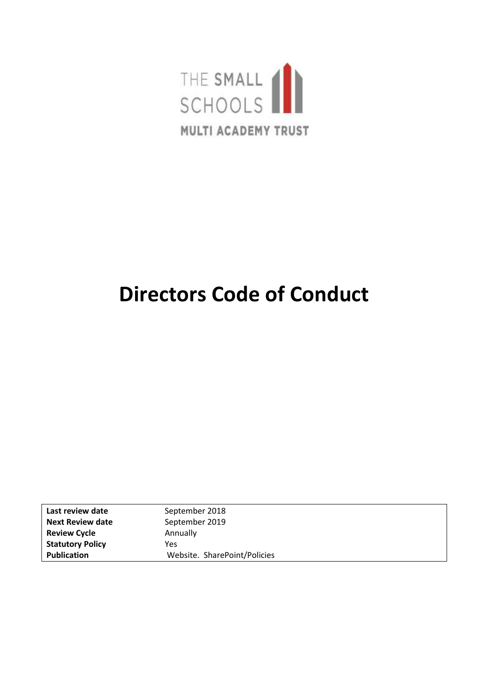

# **Directors Code of Conduct**

| Last review date        | September 2018               |
|-------------------------|------------------------------|
| <b>Next Review date</b> | September 2019               |
| <b>Review Cycle</b>     | Annually                     |
| <b>Statutory Policy</b> | Yes                          |
| <b>Publication</b>      | Website. SharePoint/Policies |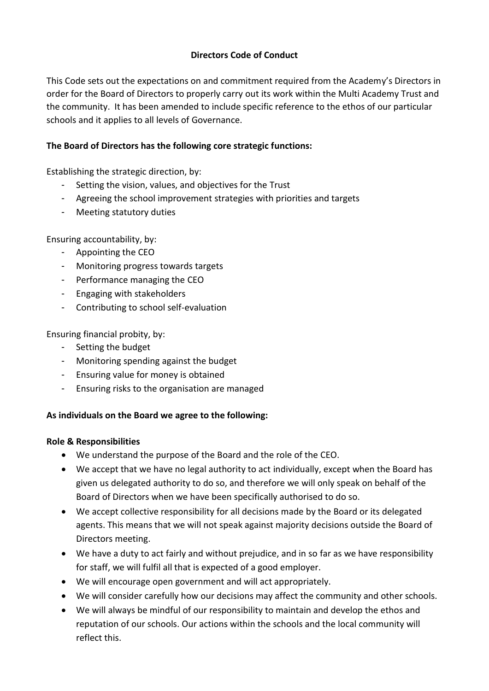## **Directors Code of Conduct**

This Code sets out the expectations on and commitment required from the Academy's Directors in order for the Board of Directors to properly carry out its work within the Multi Academy Trust and the community. It has been amended to include specific reference to the ethos of our particular schools and it applies to all levels of Governance.

## **The Board of Directors has the following core strategic functions:**

Establishing the strategic direction, by:

- Setting the vision, values, and objectives for the Trust
- Agreeing the school improvement strategies with priorities and targets
- Meeting statutory duties

Ensuring accountability, by:

- Appointing the CEO
- Monitoring progress towards targets
- Performance managing the CEO
- Engaging with stakeholders
- Contributing to school self-evaluation

Ensuring financial probity, by:

- Setting the budget
- Monitoring spending against the budget
- Ensuring value for money is obtained
- Ensuring risks to the organisation are managed

### **As individuals on the Board we agree to the following:**

### **Role & Responsibilities**

- We understand the purpose of the Board and the role of the CEO.
- We accept that we have no legal authority to act individually, except when the Board has given us delegated authority to do so, and therefore we will only speak on behalf of the Board of Directors when we have been specifically authorised to do so.
- We accept collective responsibility for all decisions made by the Board or its delegated agents. This means that we will not speak against majority decisions outside the Board of Directors meeting.
- We have a duty to act fairly and without prejudice, and in so far as we have responsibility for staff, we will fulfil all that is expected of a good employer.
- We will encourage open government and will act appropriately.
- We will consider carefully how our decisions may affect the community and other schools.
- We will always be mindful of our responsibility to maintain and develop the ethos and reputation of our schools. Our actions within the schools and the local community will reflect this.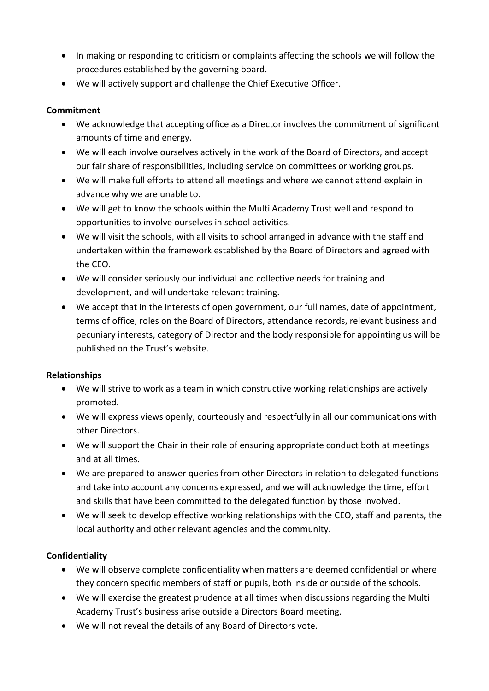- In making or responding to criticism or complaints affecting the schools we will follow the procedures established by the governing board.
- We will actively support and challenge the Chief Executive Officer.

# **Commitment**

- We acknowledge that accepting office as a Director involves the commitment of significant amounts of time and energy.
- We will each involve ourselves actively in the work of the Board of Directors, and accept our fair share of responsibilities, including service on committees or working groups.
- We will make full efforts to attend all meetings and where we cannot attend explain in advance why we are unable to.
- We will get to know the schools within the Multi Academy Trust well and respond to opportunities to involve ourselves in school activities.
- We will visit the schools, with all visits to school arranged in advance with the staff and undertaken within the framework established by the Board of Directors and agreed with the CEO.
- We will consider seriously our individual and collective needs for training and development, and will undertake relevant training.
- We accept that in the interests of open government, our full names, date of appointment, terms of office, roles on the Board of Directors, attendance records, relevant business and pecuniary interests, category of Director and the body responsible for appointing us will be published on the Trust's website.

### **Relationships**

- We will strive to work as a team in which constructive working relationships are actively promoted.
- We will express views openly, courteously and respectfully in all our communications with other Directors.
- We will support the Chair in their role of ensuring appropriate conduct both at meetings and at all times.
- We are prepared to answer queries from other Directors in relation to delegated functions and take into account any concerns expressed, and we will acknowledge the time, effort and skills that have been committed to the delegated function by those involved.
- We will seek to develop effective working relationships with the CEO, staff and parents, the local authority and other relevant agencies and the community.

# **Confidentiality**

- We will observe complete confidentiality when matters are deemed confidential or where they concern specific members of staff or pupils, both inside or outside of the schools.
- We will exercise the greatest prudence at all times when discussions regarding the Multi Academy Trust's business arise outside a Directors Board meeting.
- We will not reveal the details of any Board of Directors vote.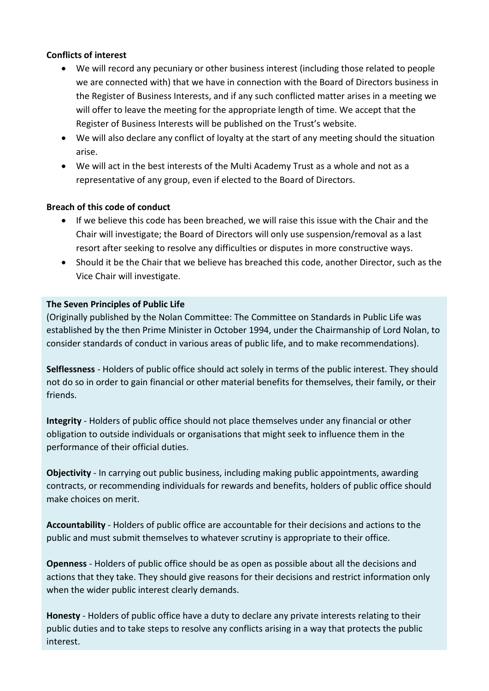#### **Conflicts of interest**

- We will record any pecuniary or other business interest (including those related to people we are connected with) that we have in connection with the Board of Directors business in the Register of Business Interests, and if any such conflicted matter arises in a meeting we will offer to leave the meeting for the appropriate length of time. We accept that the Register of Business Interests will be published on the Trust's website.
- We will also declare any conflict of loyalty at the start of any meeting should the situation arise.
- We will act in the best interests of the Multi Academy Trust as a whole and not as a representative of any group, even if elected to the Board of Directors.

#### **Breach of this code of conduct**

- If we believe this code has been breached, we will raise this issue with the Chair and the Chair will investigate; the Board of Directors will only use suspension/removal as a last resort after seeking to resolve any difficulties or disputes in more constructive ways.
- Should it be the Chair that we believe has breached this code, another Director, such as the Vice Chair will investigate.

#### **The Seven Principles of Public Life**

(Originally published by the Nolan Committee: The Committee on Standards in Public Life was established by the then Prime Minister in October 1994, under the Chairmanship of Lord Nolan, to consider standards of conduct in various areas of public life, and to make recommendations).

**Selflessness** - Holders of public office should act solely in terms of the public interest. They should not do so in order to gain financial or other material benefits for themselves, their family, or their friends.

**Integrity** - Holders of public office should not place themselves under any financial or other obligation to outside individuals or organisations that might seek to influence them in the performance of their official duties.

**Objectivity** - In carrying out public business, including making public appointments, awarding contracts, or recommending individuals for rewards and benefits, holders of public office should make choices on merit.

**Accountability** - Holders of public office are accountable for their decisions and actions to the public and must submit themselves to whatever scrutiny is appropriate to their office.

**Openness** - Holders of public office should be as open as possible about all the decisions and actions that they take. They should give reasons for their decisions and restrict information only when the wider public interest clearly demands.

**Honesty** - Holders of public office have a duty to declare any private interests relating to their public duties and to take steps to resolve any conflicts arising in a way that protects the public interest.